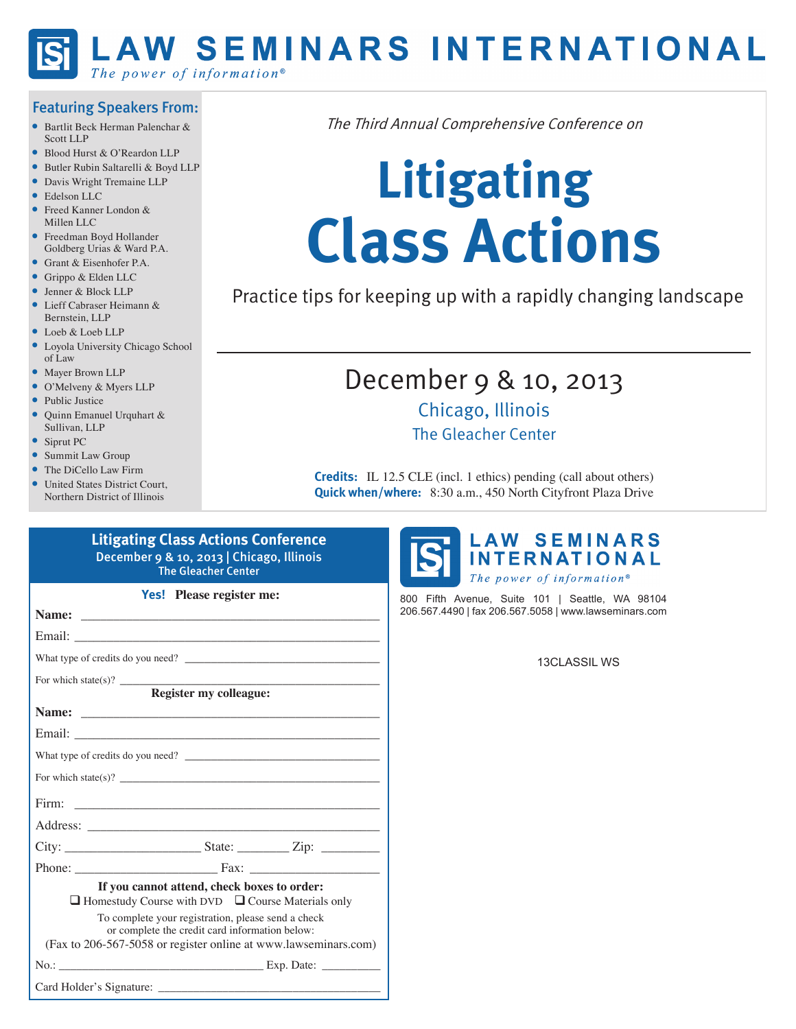

### Featuring Speakers From:

- Bartlit Beck Herman Palenchar & Scott LLP
- Blood Hurst & O'Reardon LLP
- Butler Rubin Saltarelli & Boyd LLP
- Davis Wright Tremaine LLP
- Edelson LLC
- Freed Kanner London & Millen LLC
- Freedman Boyd Hollander Goldberg Urias & Ward P.A.
- Grant & Eisenhofer P.A.
- Grippo & Elden LLC
- Jenner & Block LLP
- Lieff Cabraser Heimann & Bernstein, LLP
- Loeb & Loeb LLP
- Loyola University Chicago School of Law
- Mayer Brown LLP
- O'Melveny & Myers LLP
- Public Justice
- Quinn Emanuel Urquhart & Sullivan, LLP
- Siprut PC
- Summit Law Group
- The DiCello Law Firm
- United States District Court. Northern District of Illinois

The Third Annual Comprehensive Conference on

# **Litigating Class Actions**

Practice tips for keeping up with a rapidly changing landscape

## December 9 & 10, 2013 Chicago, Illinois The Gleacher Center

**Credits:** IL 12.5 CLE (incl. 1 ethics) pending (call about others) **Quick when/where:** 8:30 a.m., 450 North Cityfront Plaza Drive

| <b>The Gleacher Center</b> |                                                                                                              |                                                                                                                      |  |  |  |
|----------------------------|--------------------------------------------------------------------------------------------------------------|----------------------------------------------------------------------------------------------------------------------|--|--|--|
|                            | <b>Yes!</b> Please register me:                                                                              |                                                                                                                      |  |  |  |
|                            |                                                                                                              |                                                                                                                      |  |  |  |
|                            |                                                                                                              |                                                                                                                      |  |  |  |
|                            |                                                                                                              |                                                                                                                      |  |  |  |
|                            |                                                                                                              |                                                                                                                      |  |  |  |
|                            | Register my colleague:                                                                                       |                                                                                                                      |  |  |  |
|                            |                                                                                                              |                                                                                                                      |  |  |  |
|                            |                                                                                                              |                                                                                                                      |  |  |  |
|                            |                                                                                                              |                                                                                                                      |  |  |  |
|                            |                                                                                                              |                                                                                                                      |  |  |  |
| Firm:                      |                                                                                                              | <u> Territoria de la construcción de la construcción de la construcción de la construcción de la construcción de</u> |  |  |  |
|                            |                                                                                                              |                                                                                                                      |  |  |  |
|                            |                                                                                                              |                                                                                                                      |  |  |  |
|                            |                                                                                                              |                                                                                                                      |  |  |  |
|                            | If you cannot attend, check boxes to order:<br>$\Box$ Homestudy Course with DVD $\Box$ Course Materials only |                                                                                                                      |  |  |  |
|                            | To complete your registration, please send a check<br>or complete the credit card information below:         |                                                                                                                      |  |  |  |
|                            | (Fax to 206-567-5058 or register online at www.lawseminars.com)                                              |                                                                                                                      |  |  |  |
|                            |                                                                                                              |                                                                                                                      |  |  |  |
|                            |                                                                                                              |                                                                                                                      |  |  |  |

**Litigating Class Actions Conference**

December 9 & 10, 2013 | Chicago, Illinois



800 Fifth Avenue, Suite 101 | Seattle, WA 98104 206.567.4490 | fax 206.567.5058 | www.lawseminars.com

13CLASSIL WS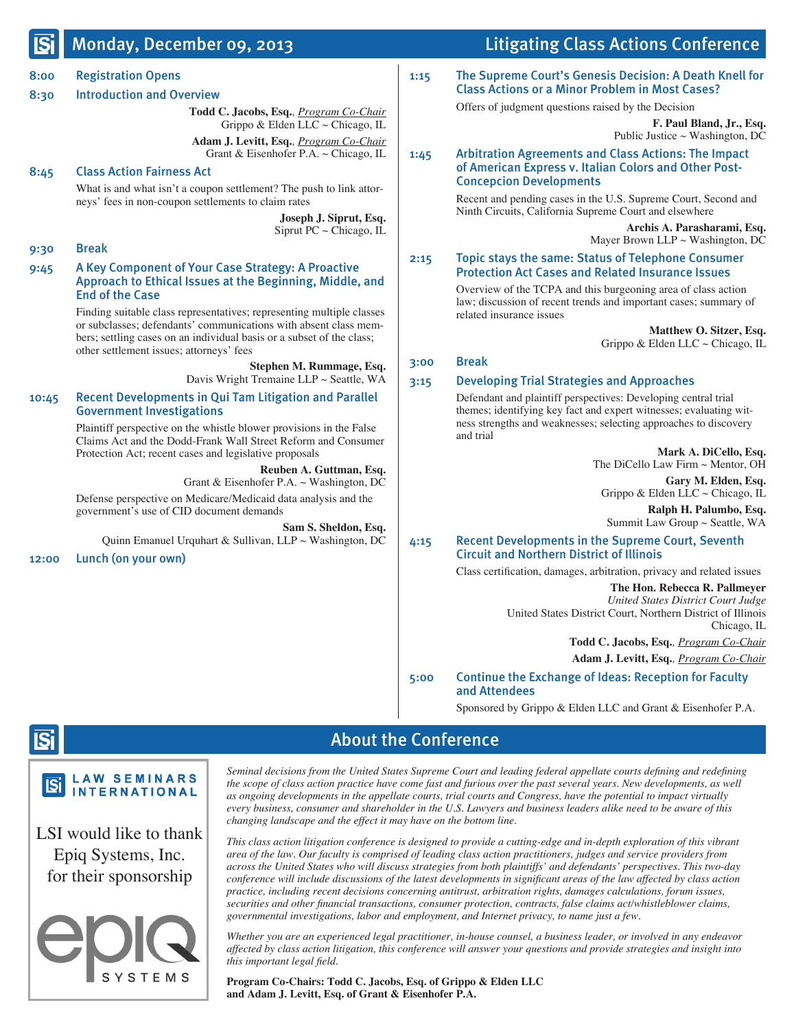### dou, Decemb

| <u>וצו</u>           | <b>MUNUAY, DELENINEL UY, 2015</b>                                                                                                                                                                                                                                                                                                                                                                                                                      |              | Litigating Class Actions Conference                                                                                                                                                                                                                                                                                                                                                                                                                                                                                                |  |
|----------------------|--------------------------------------------------------------------------------------------------------------------------------------------------------------------------------------------------------------------------------------------------------------------------------------------------------------------------------------------------------------------------------------------------------------------------------------------------------|--------------|------------------------------------------------------------------------------------------------------------------------------------------------------------------------------------------------------------------------------------------------------------------------------------------------------------------------------------------------------------------------------------------------------------------------------------------------------------------------------------------------------------------------------------|--|
| 8:00<br>8:30<br>8:45 | <b>Registration Opens</b><br><b>Introduction and Overview</b><br>Todd C. Jacobs, Esq., Program Co-Chair<br>Grippo & Elden LLC $\sim$ Chicago, IL<br>Adam J. Levitt, Esq., Program Co-Chair<br>Grant & Eisenhofer P.A. $\sim$ Chicago, IL<br><b>Class Action Fairness Act</b><br>What is and what isn't a coupon settlement? The push to link attor-<br>neys' fees in non-coupon settlements to claim rates<br>Joseph J. Siprut, Esq.                   | 1:15<br>1:45 | The Supreme Court's Genesis Decision: A Death Knell for<br><b>Class Actions or a Minor Problem in Most Cases?</b><br>Offers of judgment questions raised by the Decision<br>F. Paul Bland, Jr., Esq.<br>Public Justice $\sim$ Washington, DC<br><b>Arbitration Agreements and Class Actions: The Impact</b><br>of American Express v. Italian Colors and Other Post-<br><b>Concepcion Developments</b><br>Recent and pending cases in the U.S. Supreme Court, Second and<br>Ninth Circuits, California Supreme Court and elsewhere |  |
|                      | Siprut PC $\sim$ Chicago, IL                                                                                                                                                                                                                                                                                                                                                                                                                           |              | Archis A. Parasharami, Esq.<br>Mayer Brown LLP $\sim$ Washington, DC                                                                                                                                                                                                                                                                                                                                                                                                                                                               |  |
| 9:30<br>9:45         | <b>Break</b><br>A Key Component of Your Case Strategy: A Proactive<br>Approach to Ethical Issues at the Beginning, Middle, and<br><b>End of the Case</b><br>Finding suitable class representatives; representing multiple classes<br>or subclasses; defendants' communications with absent class mem-<br>bers; settling cases on an individual basis or a subset of the class;<br>other settlement issues; attorneys' fees<br>Stephen M. Rummage, Esq. |              | <b>Topic stays the same: Status of Telephone Consumer</b><br><b>Protection Act Cases and Related Insurance Issues</b><br>Overview of the TCPA and this burgeoning area of class action                                                                                                                                                                                                                                                                                                                                             |  |
|                      |                                                                                                                                                                                                                                                                                                                                                                                                                                                        |              | law; discussion of recent trends and important cases; summary of<br>related insurance issues<br>Matthew O. Sitzer, Esq.<br>Grippo & Elden LLC $\sim$ Chicago, IL<br><b>Break</b>                                                                                                                                                                                                                                                                                                                                                   |  |
| 10:45                | Davis Wright Tremaine LLP ~ Seattle, WA<br><b>Recent Developments in Qui Tam Litigation and Parallel</b><br><b>Government Investigations</b><br>Plaintiff perspective on the whistle blower provisions in the False<br>Claims Act and the Dodd-Frank Wall Street Reform and Consumer<br>Protection Act; recent cases and legislative proposals                                                                                                         | 3:15<br>4:15 | <b>Developing Trial Strategies and Approaches</b><br>Defendant and plaintiff perspectives: Developing central trial<br>themes; identifying key fact and expert witnesses; evaluating wit-<br>ness strengths and weaknesses; selecting approaches to discovery<br>and trial<br>Mark A. DiCello, Esq.                                                                                                                                                                                                                                |  |
|                      | Reuben A. Guttman, Esq.<br>Grant & Eisenhofer P.A. $\sim$ Washington, DC<br>Defense perspective on Medicare/Medicaid data analysis and the<br>government's use of CID document demands<br>Sam S. Sheldon, Esq.<br>Quinn Emanuel Urquhart & Sullivan, LLP ~ Washington, DC                                                                                                                                                                              |              | The DiCello Law Firm $\sim$ Mentor, OH<br>Gary M. Elden, Esq.<br>Grippo & Elden LLC $\sim$ Chicago, IL<br>Ralph H. Palumbo, Esq.<br>Summit Law Group ~ Seattle, WA<br><b>Recent Developments in the Supreme Court, Seventh</b>                                                                                                                                                                                                                                                                                                     |  |
| 12:00                | Lunch (on your own)                                                                                                                                                                                                                                                                                                                                                                                                                                    | 5:00         | <b>Circuit and Northern District of Illinois</b><br>Class certification, damages, arbitration, privacy and related issues<br>The Hon. Rebecca R. Pallmeyer<br>United States District Court Judge<br>United States District Court, Northern District of Illinois<br>Chicago, IL<br>Todd C. Jacobs, Esq., Program Co-Chair<br>Adam J. Levitt, Esq., Program Co-Chair<br><b>Continue the Exchange of Ideas: Reception for Faculty</b><br>and Attendees                                                                                |  |

Sponsored by Grippo & Elden LLC and Grant & Eisenhofer P.A.

 $A = L^* \times K^* \times C$ 

# **ISi**

#### **LAW SEMINARS ISi INTERNATIONAL**

### LSI would like to thank Epiq Systems, Inc. for their sponsorship



### About the Conference

Seminal decisions from the United States Supreme Court and leading federal appellate courts defining and redefining *the scope of class action practice have come fast and furious over the past several years. New developments, as well as ongoing developments in the appellate courts, trial courts and Congress, have the potential to impact virtually every business, consumer and shareholder in the U.S. Lawyers and business leaders alike need to be aware of this changing landscape and the effect it may have on the bottom line.*

*This class action litigation conference is designed to provide a cutting-edge and in-depth exploration of this vibrant area of the law. Our faculty is comprised of leading class action practitioners, judges and service providers from across the United States who will discuss strategies from both plaintiffs' and defendants' perspectives. This two-day conference will include discussions of the latest developments in significant areas of the law affected by class action practice, including recent decisions concerning antitrust, arbitration rights, damages calculations, forum issues, securities and other financial transactions, consumer protection, contracts, false claims act/whistleblower claims, governmental investigations, labor and employment, and Internet privacy, to name just a few.* 

*Whether you are an experienced legal practitioner, in-house counsel, a business leader, or involved in any endeavor affected by class action litigation, this conference will answer your questions and provide strategies and insight into this important legal field.*

**Program Co-Chairs: Todd C. Jacobs, Esq. of Grippo & Elden LLC and Adam J. Levitt, Esq. of Grant & Eisenhofer P.A.**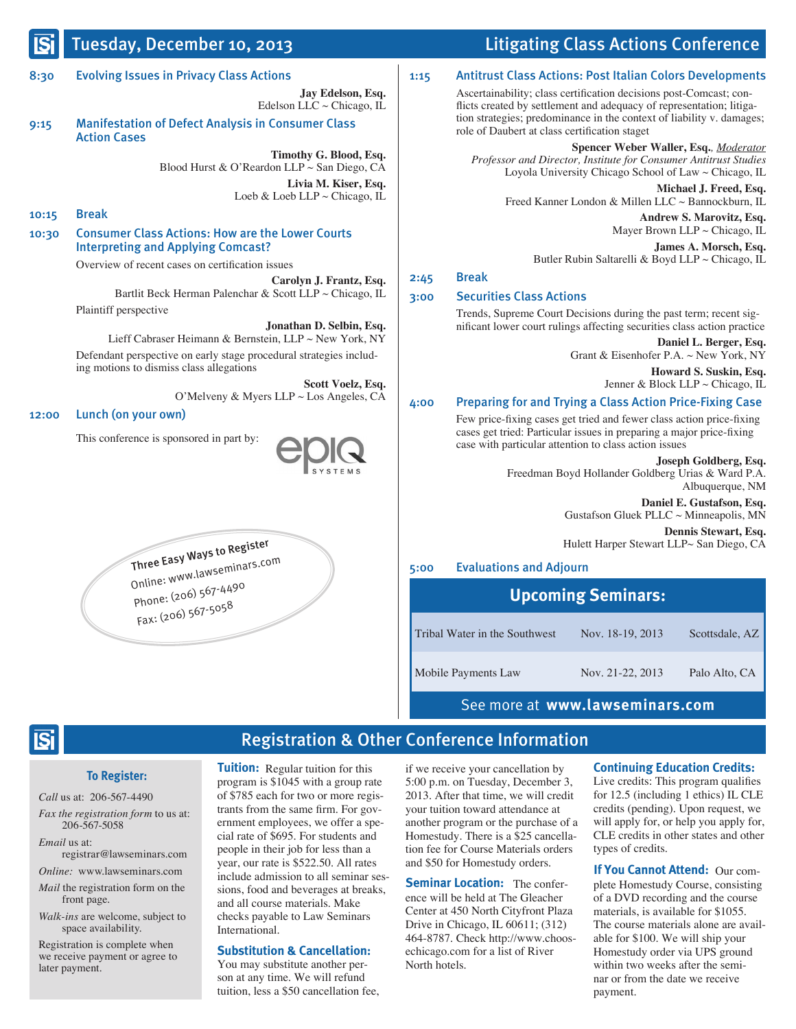### 8:30 Evolving Issues in Privacy Class Actions

**Jay Edelson, Esq.** Edelson LLC  $\sim$  Chicago, IL

9:15 Manifestation of Defect Analysis in Consumer Class Action Cases

> **Timothy G. Blood, Esq.** Blood Hurst & O'Reardon LLP ~ San Diego, CA **Livia M. Kiser, Esq.** Loeb & Loeb LLP ~ Chicago, IL

10:15 Break

10:30 Consumer Class Actions: How are the Lower Courts Interpreting and Applying Comcast?

Overview of recent cases on certification issues

**Carolyn J. Frantz, Esq.** Bartlit Beck Herman Palenchar & Scott LLP ~ Chicago, IL Plaintiff perspective

**Jonathan D. Selbin, Esq.** Lieff Cabraser Heimann & Bernstein, LLP ~ New York, NY Defendant perspective on early stage procedural strategies includ-

ing motions to dismiss class allegations

**Scott Voelz, Esq.** O'Melveny & Myers LLP ~ Los Angeles, CA

#### 12:00 Lunch (on your own)

This conference is sponsored in part by:



Three Easy Ways to Register

 Online: www.lawseminars.com Phone: (206) 567-4490 Fax: (206) 567-5058

### Tuesday, December 10, 2013 Litigating Class Actions Conference

### 1:15 Antitrust Class Actions: Post Italian Colors Developments

Ascertainability; class certification decisions post-Comcast; conflicts created by settlement and adequacy of representation; litigation strategies; predominance in the context of liability v. damages; role of Daubert at class certification staget

**Spencer Weber Waller, Esq.***, Moderator Professor and Director, Institute for Consumer Antitrust Studies*  Loyola University Chicago School of Law ~ Chicago, IL

**Michael J. Freed, Esq.** Freed Kanner London & Millen LLC ~ Bannockburn, IL **Andrew S. Marovitz, Esq.** Mayer Brown LLP ~ Chicago, IL

**James A. Morsch, Esq.** Butler Rubin Saltarelli & Boyd LLP ~ Chicago, IL

### 2:45 Break

### 3:00 Securities Class Actions

Trends, Supreme Court Decisions during the past term; recent significant lower court rulings affecting securities class action practice

**Daniel L. Berger, Esq.** Grant & Eisenhofer P.A. ~ New York, NY

> **Howard S. Suskin, Esq.** Jenner & Block LLP  $\sim$  Chicago, IL

#### 4:00 Preparing for and Trying a Class Action Price-Fixing Case

Few price-fixing cases get tried and fewer class action price-fixing cases get tried: Particular issues in preparing a major price-fixing case with particular attention to class action issues

**Joseph Goldberg, Esq.**

Freedman Boyd Hollander Goldberg Urias & Ward P.A. Albuquerque, NM

> **Daniel E. Gustafson, Esq.** Gustafson Gluek PLLC ~ Minneapolis, MN **Dennis Stewart, Esq.**

Hulett Harper Stewart LLP~ San Diego, CA

### 5:00 Evaluations and Adjourn

|                               | <b>Upcoming Seminars:</b> |                |  |  |  |  |
|-------------------------------|---------------------------|----------------|--|--|--|--|
| Tribal Water in the Southwest | Nov. 18-19, 2013          | Scottsdale, AZ |  |  |  |  |
| Mobile Payments Law           | Nov. 21-22, 2013          | Palo Alto, CA  |  |  |  |  |

See more at **www.lawseminars.com**

### $\overline{\mathbf{S}}$ i

### **To Register:**

*Call* us at: 206-567-4490

*Fax the registration form* to us at: 206-567-5058

*Email* us at: registrar@lawseminars.com

*Online:* www.lawseminars.com

*Mail* the registration form on the front page.

*Walk-ins* are welcome, subject to space availability.

Registration is complete when we receive payment or agree to later payment.

**Tuition:** Regular tuition for this program is \$1045 with a group rate of \$785 each for two or more registrants from the same firm. For government employees, we offer a special rate of \$695. For students and people in their job for less than a year, our rate is \$522.50. All rates include admission to all seminar sessions, food and beverages at breaks, and all course materials. Make checks payable to Law Seminars International.

#### **Substitution & Cancellation:**

You may substitute another person at any time. We will refund tuition, less a \$50 cancellation fee,

if we receive your cancellation by 5:00 p.m. on Tuesday, December 3, 2013. After that time, we will credit your tuition toward attendance at another program or the purchase of a Homestudy. There is a \$25 cancellation fee for Course Materials orders and \$50 for Homestudy orders.

Registration & Other Conference Information

Seminar Location: The conference will be held at The Gleacher Center at 450 North Cityfront Plaza Drive in Chicago, IL 60611; (312) 464-8787. Check http://www.choosechicago.com for a list of River North hotels.

#### **Continuing Education Credits:**

Live credits: This program qualifies for 12.5 (including 1 ethics) IL CLE credits (pending). Upon request, we will apply for, or help you apply for, CLE credits in other states and other types of credits.

**If You Cannot Attend:** Our complete Homestudy Course, consisting of a DVD recording and the course materials, is available for \$1055. The course materials alone are available for \$100. We will ship your Homestudy order via UPS ground within two weeks after the seminar or from the date we receive payment.